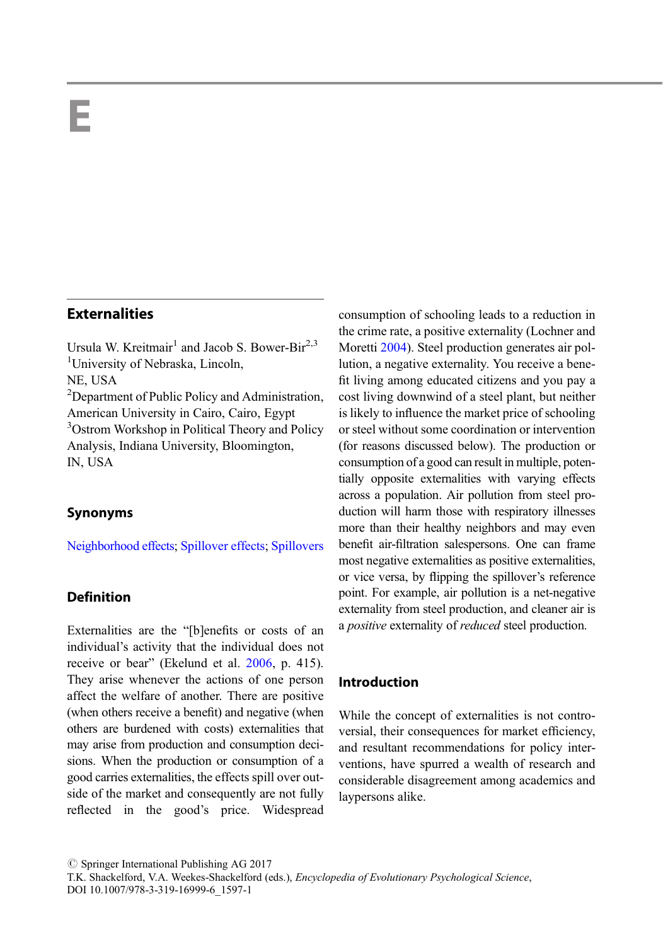# E

# **Externalities**

Ursula W. Kreitmair<sup>1</sup> and Jacob S. Bower-Bir<sup>2,3</sup> <sup>1</sup>University of Nebraska, Lincoln, NE, USA <sup>2</sup>Department of Public Policy and Administration, American University in Cairo, Cairo, Egypt <sup>3</sup>Ostrom Workshop in Political Theory and Policy Analysis, Indiana University, Bloomington, IN, USA

### Synonyms

[Neighborhood effects;](http://link.springer.com/Neighborhood effects) [Spillover effects;](http://link.springer.com/Spillover effects) [Spillovers](http://link.springer.com/Spillovers)

# Definition

Externalities are the "[b]enefits or costs of an individual's activity that the individual does not receive or bear" (Ekelund et al. [2006](#page-5-0), p. 415). They arise whenever the actions of one person affect the welfare of another. There are positive (when others receive a benefit) and negative (when others are burdened with costs) externalities that may arise from production and consumption decisions. When the production or consumption of a good carries externalities, the effects spill over outside of the market and consequently are not fully reflected in the good's price. Widespread

consumption of schooling leads to a reduction in the crime rate, a positive externality (Lochner and Moretti [2004\)](#page-5-0). Steel production generates air pollution, a negative externality. You receive a benefit living among educated citizens and you pay a cost living downwind of a steel plant, but neither is likely to influence the market price of schooling or steel without some coordination or intervention (for reasons discussed below). The production or consumption of a good can result in multiple, potentially opposite externalities with varying effects across a population. Air pollution from steel production will harm those with respiratory illnesses more than their healthy neighbors and may even benefit air-filtration salespersons. One can frame most negative externalities as positive externalities, or vice versa, by flipping the spillover's reference point. For example, air pollution is a net-negative externality from steel production, and cleaner air is a *positive* externality of *reduced* steel production.

### Introduction

While the concept of externalities is not controversial, their consequences for market efficiency, and resultant recommendations for policy interventions, have spurred a wealth of research and considerable disagreement among academics and laypersons alike.

 $\oslash$  Springer International Publishing AG 2017

T.K. Shackelford, V.A. Weekes-Shackelford (eds.), Encyclopedia of Evolutionary Psychological Science, DOI 10.1007/978-3-319-16999-6\_1597-1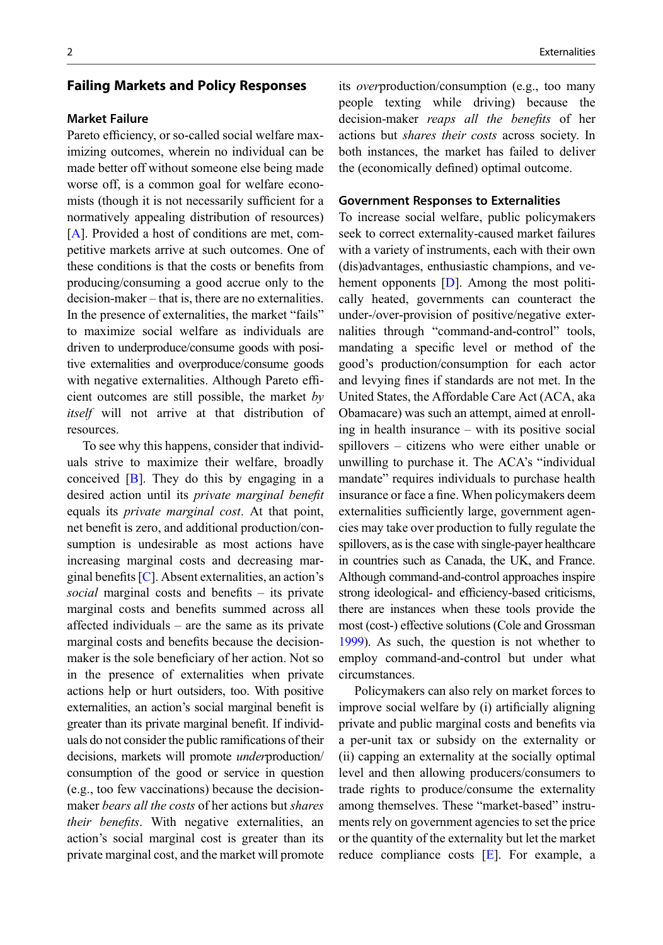### Failing Markets and Policy Responses

### **Market Failure**

Pareto efficiency, or so-called social welfare maximizing outcomes, wherein no individual can be made better off without someone else being made worse off, is a common goal for welfare economists (though it is not necessarily sufficient for a normatively appealing distribution of resources) [\[A](#page-4-0)]. Provided a host of conditions are met, competitive markets arrive at such outcomes. One of these conditions is that the costs or benefits from producing/consuming a good accrue only to the decision-maker – that is, there are no externalities. In the presence of externalities, the market "fails" to maximize social welfare as individuals are driven to underproduce/consume goods with positive externalities and overproduce/consume goods with negative externalities. Although Pareto efficient outcomes are still possible, the market by itself will not arrive at that distribution of resources.

To see why this happens, consider that individuals strive to maximize their welfare, broadly conceived [[B\]](#page-4-0). They do this by engaging in a desired action until its private marginal benefit equals its private marginal cost. At that point, net benefit is zero, and additional production/consumption is undesirable as most actions have increasing marginal costs and decreasing marginal benefits  $[C]$  $[C]$ . Absent externalities, an action's social marginal costs and benefits – its private marginal costs and benefits summed across all affected individuals – are the same as its private marginal costs and benefits because the decisionmaker is the sole beneficiary of her action. Not so in the presence of externalities when private actions help or hurt outsiders, too. With positive externalities, an action's social marginal benefit is greater than its private marginal benefit. If individuals do not consider the public ramifications of their decisions, markets will promote underproduction/ consumption of the good or service in question (e.g., too few vaccinations) because the decisionmaker bears all the costs of her actions but shares their benefits. With negative externalities, an action's social marginal cost is greater than its private marginal cost, and the market will promote

its overproduction/consumption (e.g., too many people texting while driving) because the decision-maker reaps all the benefits of her actions but shares their costs across society. In

both instances, the market has failed to deliver the (economically defined) optimal outcome.

To increase social welfare, public policymakers seek to correct externality-caused market failures with a variety of instruments, each with their own (dis)advantages, enthusiastic champions, and ve-hement opponents [\[D](#page-4-0)]. Among the most politically heated, governments can counteract the under-/over-provision of positive/negative externalities through "command-and-control" tools, mandating a specific level or method of the good's production/consumption for each actor and levying fines if standards are not met. In the United States, the Affordable Care Act (ACA, aka Obamacare) was such an attempt, aimed at enrolling in health insurance – with its positive social spillovers – citizens who were either unable or unwilling to purchase it. The ACA's "individual mandate" requires individuals to purchase health insurance or face a fine. When policymakers deem externalities sufficiently large, government agencies may take over production to fully regulate the spillovers, as is the case with single-payer healthcare in countries such as Canada, the UK, and France. Although command-and-control approaches inspire strong ideological- and efficiency-based criticisms, there are instances when these tools provide the most (cost-) effective solutions (Cole and Grossman [1999](#page-5-0)). As such, the question is not whether to employ command-and-control but under what circumstances.

Policymakers can also rely on market forces to improve social welfare by (i) artificially aligning private and public marginal costs and benefits via a per-unit tax or subsidy on the externality or (ii) capping an externality at the socially optimal level and then allowing producers/consumers to trade rights to produce/consume the externality among themselves. These "market-based" instruments rely on government agencies to set the price or the quantity of the externality but let the market reduce compliance costs [\[E](#page-5-0)]. For example, a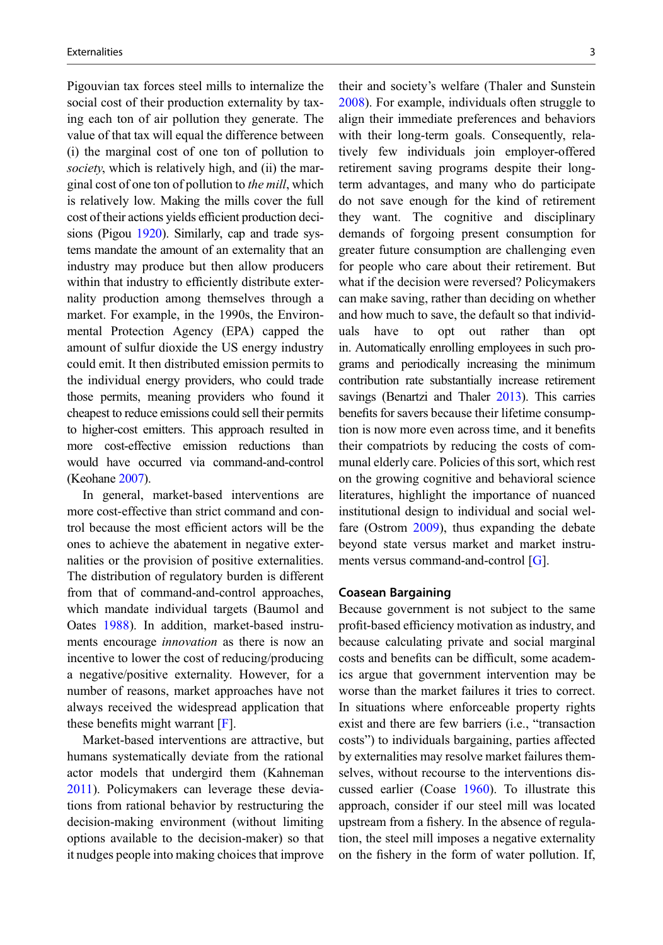Pigouvian tax forces steel mills to internalize the social cost of their production externality by taxing each ton of air pollution they generate. The value of that tax will equal the difference between (i) the marginal cost of one ton of pollution to society, which is relatively high, and (ii) the marginal cost of one ton of pollution to the mill, which is relatively low. Making the mills cover the full cost of their actions yields efficient production decisions (Pigou [1920](#page-6-0)). Similarly, cap and trade systems mandate the amount of an externality that an industry may produce but then allow producers within that industry to efficiently distribute externality production among themselves through a market. For example, in the 1990s, the Environmental Protection Agency (EPA) capped the amount of sulfur dioxide the US energy industry could emit. It then distributed emission permits to the individual energy providers, who could trade those permits, meaning providers who found it cheapest to reduce emissions could sell their permits to higher-cost emitters. This approach resulted in more cost-effective emission reductions than would have occurred via command-and-control (Keohane [2007\)](#page-5-0).

In general, market-based interventions are more cost-effective than strict command and control because the most efficient actors will be the ones to achieve the abatement in negative externalities or the provision of positive externalities. The distribution of regulatory burden is different from that of command-and-control approaches, which mandate individual targets (Baumol and Oates [1988\)](#page-5-0). In addition, market-based instruments encourage innovation as there is now an incentive to lower the cost of reducing/producing a negative/positive externality. However, for a number of reasons, market approaches have not always received the widespread application that these benefits might warrant  $[F]$  $[F]$  $[F]$ .

Market-based interventions are attractive, but humans systematically deviate from the rational actor models that undergird them (Kahneman [2011\)](#page-5-0). Policymakers can leverage these deviations from rational behavior by restructuring the decision-making environment (without limiting options available to the decision-maker) so that it nudges people into making choices that improve their and society's welfare (Thaler and Sunstein [2008\)](#page-6-0). For example, individuals often struggle to align their immediate preferences and behaviors with their long-term goals. Consequently, relatively few individuals join employer-offered retirement saving programs despite their longterm advantages, and many who do participate do not save enough for the kind of retirement they want. The cognitive and disciplinary demands of forgoing present consumption for greater future consumption are challenging even for people who care about their retirement. But what if the decision were reversed? Policymakers can make saving, rather than deciding on whether and how much to save, the default so that individuals have to opt out rather than opt in. Automatically enrolling employees in such programs and periodically increasing the minimum contribution rate substantially increase retirement savings (Benartzi and Thaler [2013](#page-5-0)). This carries benefits for savers because their lifetime consumption is now more even across time, and it benefits their compatriots by reducing the costs of communal elderly care. Policies of this sort, which rest on the growing cognitive and behavioral science literatures, highlight the importance of nuanced institutional design to individual and social welfare (Ostrom [2009\)](#page-5-0), thus expanding the debate beyond state versus market and market instruments versus command-and-control [[G\]](#page-5-0).

Because government is not subject to the same profit-based efficiency motivation as industry, and because calculating private and social marginal costs and benefits can be difficult, some academics argue that government intervention may be worse than the market failures it tries to correct. In situations where enforceable property rights exist and there are few barriers (i.e., "transaction costs") to individuals bargaining, parties affected by externalities may resolve market failures themselves, without recourse to the interventions discussed earlier (Coase [1960\)](#page-5-0). To illustrate this approach, consider if our steel mill was located upstream from a fishery. In the absence of regulation, the steel mill imposes a negative externality on the fishery in the form of water pollution. If,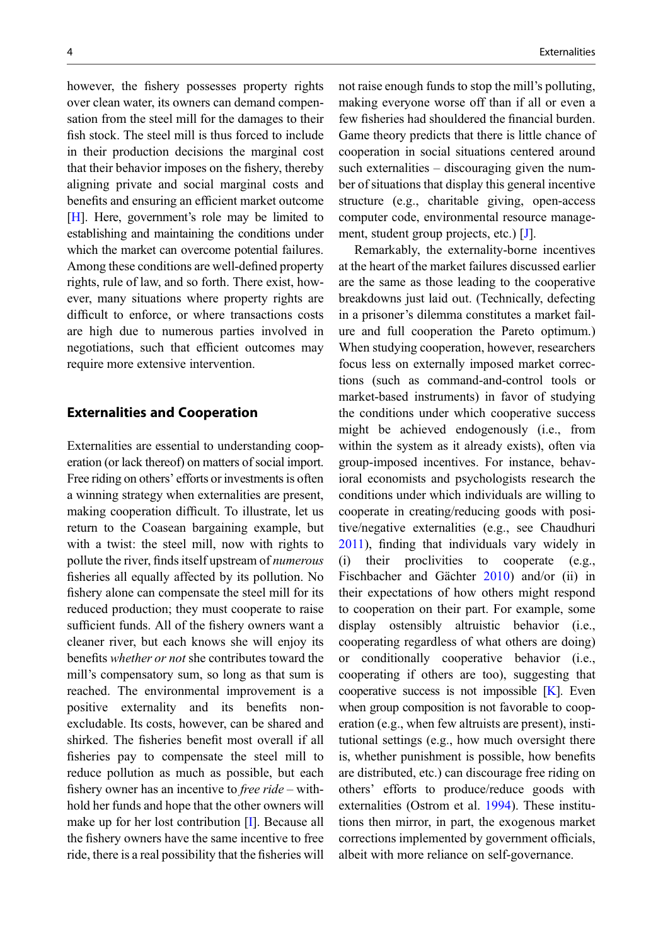however, the fishery possesses property rights over clean water, its owners can demand compensation from the steel mill for the damages to their fish stock. The steel mill is thus forced to include in their production decisions the marginal cost that their behavior imposes on the fishery, thereby aligning private and social marginal costs and benefits and ensuring an efficient market outcome [\[H](#page-5-0)]. Here, government's role may be limited to establishing and maintaining the conditions under which the market can overcome potential failures. Among these conditions are well-defined property rights, rule of law, and so forth. There exist, however, many situations where property rights are difficult to enforce, or where transactions costs are high due to numerous parties involved in negotiations, such that efficient outcomes may require more extensive intervention.

### Externalities and Cooperation

Externalities are essential to understanding cooperation (or lack thereof) on matters of social import. Free riding on others' efforts or investments is often a winning strategy when externalities are present, making cooperation difficult. To illustrate, let us return to the Coasean bargaining example, but with a twist: the steel mill, now with rights to pollute the river, finds itself upstream of numerous fisheries all equally affected by its pollution. No fishery alone can compensate the steel mill for its reduced production; they must cooperate to raise sufficient funds. All of the fishery owners want a cleaner river, but each knows she will enjoy its benefits whether or not she contributes toward the mill's compensatory sum, so long as that sum is reached. The environmental improvement is a positive externality and its benefits nonexcludable. Its costs, however, can be shared and shirked. The fisheries benefit most overall if all fisheries pay to compensate the steel mill to reduce pollution as much as possible, but each fishery owner has an incentive to *free ride* – withhold her funds and hope that the other owners will make up for her lost contribution [\[I](#page-5-0)]. Because all the fishery owners have the same incentive to free ride, there is a real possibility that the fisheries will not raise enough funds to stop the mill's polluting, making everyone worse off than if all or even a few fisheries had shouldered the financial burden. Game theory predicts that there is little chance of cooperation in social situations centered around such externalities – discouraging given the number of situations that display this general incentive structure (e.g., charitable giving, open-access computer code, environmental resource management, student group projects, etc.) [[J\]](#page-5-0).

Remarkably, the externality-borne incentives at the heart of the market failures discussed earlier are the same as those leading to the cooperative breakdowns just laid out. (Technically, defecting in a prisoner's dilemma constitutes a market failure and full cooperation the Pareto optimum.) When studying cooperation, however, researchers focus less on externally imposed market corrections (such as command-and-control tools or market-based instruments) in favor of studying the conditions under which cooperative success might be achieved endogenously (i.e., from within the system as it already exists), often via group-imposed incentives. For instance, behavioral economists and psychologists research the conditions under which individuals are willing to cooperate in creating/reducing goods with positive/negative externalities (e.g., see Chaudhuri [2011\)](#page-5-0), finding that individuals vary widely in (i) their proclivities to cooperate (e.g., Fischbacher and Gächter [2010](#page-5-0)) and/or (ii) in their expectations of how others might respond to cooperation on their part. For example, some display ostensibly altruistic behavior (i.e., cooperating regardless of what others are doing) or conditionally cooperative behavior (i.e., cooperating if others are too), suggesting that cooperative success is not impossible  $[K]$  $[K]$ . Even when group composition is not favorable to cooperation (e.g., when few altruists are present), institutional settings (e.g., how much oversight there is, whether punishment is possible, how benefits are distributed, etc.) can discourage free riding on others' efforts to produce/reduce goods with externalities (Ostrom et al. [1994](#page-6-0)). These institutions then mirror, in part, the exogenous market corrections implemented by government officials, albeit with more reliance on self-governance.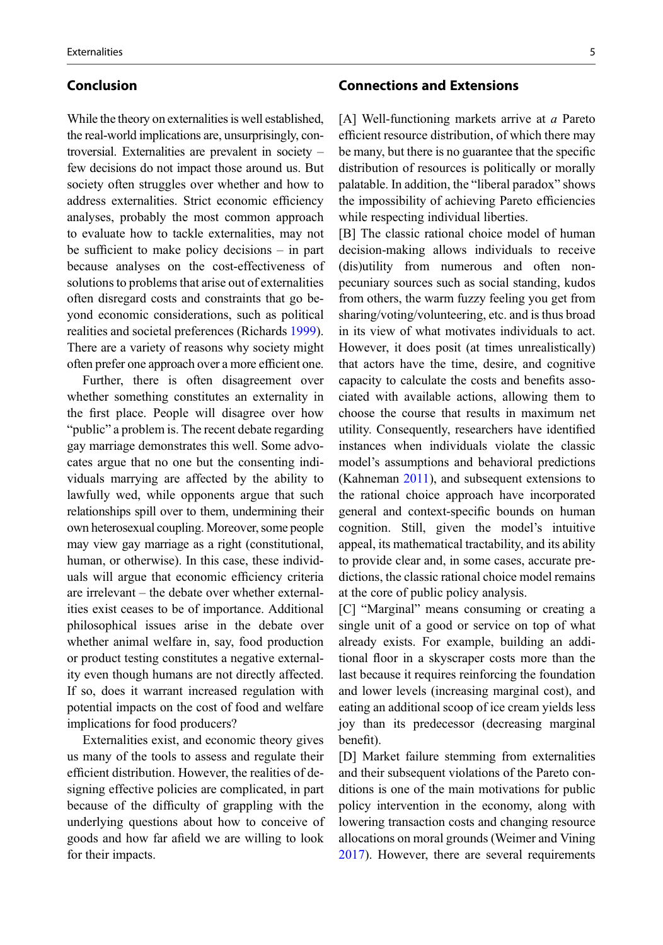# <span id="page-4-0"></span>Conclusion

While the theory on externalities is well established, the real-world implications are, unsurprisingly, controversial. Externalities are prevalent in society – few decisions do not impact those around us. But society often struggles over whether and how to address externalities. Strict economic efficiency analyses, probably the most common approach to evaluate how to tackle externalities, may not be sufficient to make policy decisions – in part because analyses on the cost-effectiveness of solutions to problems that arise out of externalities often disregard costs and constraints that go beyond economic considerations, such as political realities and societal preferences (Richards [1999\)](#page-6-0). There are a variety of reasons why society might often prefer one approach over a more efficient one.

Further, there is often disagreement over whether something constitutes an externality in the first place. People will disagree over how "public" a problem is. The recent debate regarding gay marriage demonstrates this well. Some advocates argue that no one but the consenting individuals marrying are affected by the ability to lawfully wed, while opponents argue that such relationships spill over to them, undermining their own heterosexual coupling. Moreover, some people may view gay marriage as a right (constitutional, human, or otherwise). In this case, these individuals will argue that economic efficiency criteria are irrelevant – the debate over whether externalities exist ceases to be of importance. Additional philosophical issues arise in the debate over whether animal welfare in, say, food production or product testing constitutes a negative externality even though humans are not directly affected. If so, does it warrant increased regulation with potential impacts on the cost of food and welfare implications for food producers?

Externalities exist, and economic theory gives us many of the tools to assess and regulate their efficient distribution. However, the realities of designing effective policies are complicated, in part because of the difficulty of grappling with the underlying questions about how to conceive of goods and how far afield we are willing to look for their impacts.

## Connections and Extensions

[A] Well-functioning markets arrive at a Pareto efficient resource distribution, of which there may be many, but there is no guarantee that the specific distribution of resources is politically or morally palatable. In addition, the "liberal paradox" shows the impossibility of achieving Pareto efficiencies while respecting individual liberties.

[B] The classic rational choice model of human decision-making allows individuals to receive (dis)utility from numerous and often nonpecuniary sources such as social standing, kudos from others, the warm fuzzy feeling you get from sharing/voting/volunteering, etc. and is thus broad in its view of what motivates individuals to act. However, it does posit (at times unrealistically) that actors have the time, desire, and cognitive capacity to calculate the costs and benefits associated with available actions, allowing them to choose the course that results in maximum net utility. Consequently, researchers have identified instances when individuals violate the classic model's assumptions and behavioral predictions (Kahneman [2011](#page-5-0)), and subsequent extensions to the rational choice approach have incorporated general and context-specific bounds on human cognition. Still, given the model's intuitive appeal, its mathematical tractability, and its ability to provide clear and, in some cases, accurate predictions, the classic rational choice model remains at the core of public policy analysis.

[C] "Marginal" means consuming or creating a single unit of a good or service on top of what already exists. For example, building an additional floor in a skyscraper costs more than the last because it requires reinforcing the foundation and lower levels (increasing marginal cost), and eating an additional scoop of ice cream yields less joy than its predecessor (decreasing marginal benefit).

[D] Market failure stemming from externalities and their subsequent violations of the Pareto conditions is one of the main motivations for public policy intervention in the economy, along with lowering transaction costs and changing resource allocations on moral grounds (Weimer and Vining [2017\)](#page-6-0). However, there are several requirements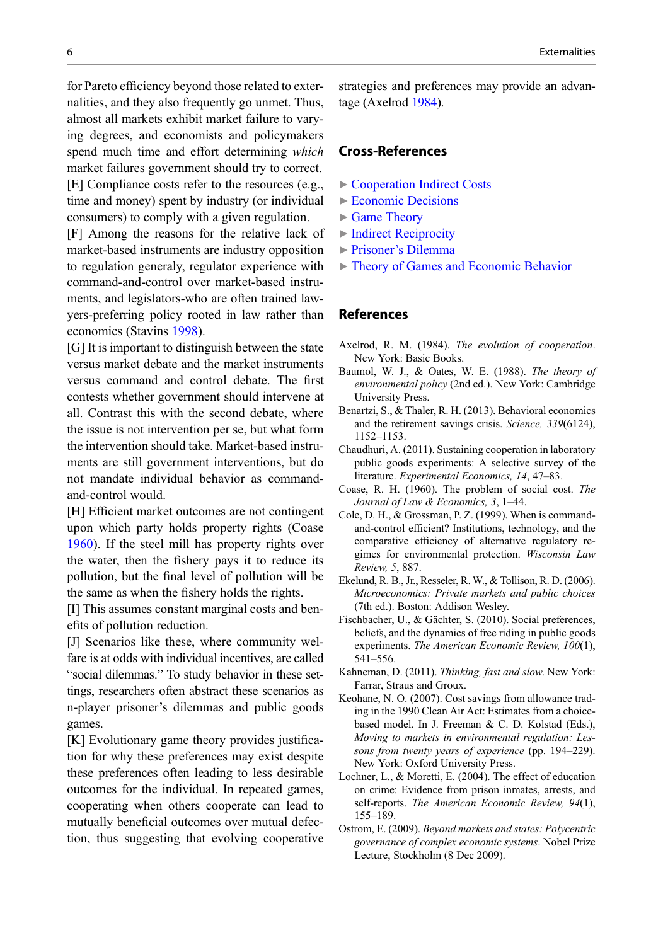<span id="page-5-0"></span>for Pareto efficiency beyond those related to externalities, and they also frequently go unmet. Thus, almost all markets exhibit market failure to varying degrees, and economists and policymakers spend much time and effort determining which market failures government should try to correct. [E] Compliance costs refer to the resources (e.g., time and money) spent by industry (or individual consumers) to comply with a given regulation.

[F] Among the reasons for the relative lack of market-based instruments are industry opposition to regulation generaly, regulator experience with command-and-control over market-based instruments, and legislators-who are often trained lawyers-preferring policy rooted in law rather than economics (Stavins [1998\)](#page-6-0).

[G] It is important to distinguish between the state versus market debate and the market instruments versus command and control debate. The first contests whether government should intervene at all. Contrast this with the second debate, where the issue is not intervention per se, but what form the intervention should take. Market-based instruments are still government interventions, but do not mandate individual behavior as commandand-control would.

[H] Efficient market outcomes are not contingent upon which party holds property rights (Coase 1960). If the steel mill has property rights over the water, then the fishery pays it to reduce its pollution, but the final level of pollution will be the same as when the fishery holds the rights.

[I] This assumes constant marginal costs and benefits of pollution reduction.

[J] Scenarios like these, where community welfare is at odds with individual incentives, are called "social dilemmas." To study behavior in these settings, researchers often abstract these scenarios as n-player prisoner's dilemmas and public goods games.

[K] Evolutionary game theory provides justification for why these preferences may exist despite these preferences often leading to less desirable outcomes for the individual. In repeated games, cooperating when others cooperate can lead to mutually beneficial outcomes over mutual defection, thus suggesting that evolving cooperative strategies and preferences may provide an advantage (Axelrod 1984).

### Cross-References

- ▶ [Cooperation Indirect Costs](http://link.springer.com/Cooperation Indirect Costs)
- ▶ [Economic Decisions](http://link.springer.com/Economic Decisions)
- ▶ [Game Theory](http://link.springer.com/Game Theory)
- ▶ [Indirect Reciprocity](http://link.springer.com/Indirect Reciprocity)
- ▶ Prisoner'[s Dilemma](http://link.springer.com/Prisoner’s Dilemma)
- ▶ [Theory of Games and Economic Behavior](http://link.springer.com/Theory of Games and Economic Behavior)

### References

- Axelrod, R. M. (1984). The evolution of cooperation. New York: Basic Books.
- Baumol, W. J., & Oates, W. E. (1988). The theory of environmental policy (2nd ed.). New York: Cambridge University Press.
- Benartzi, S., & Thaler, R. H. (2013). Behavioral economics and the retirement savings crisis. Science, 339(6124), 1152–1153.
- Chaudhuri, A. (2011). Sustaining cooperation in laboratory public goods experiments: A selective survey of the literature. Experimental Economics, 14, 47–83.
- Coase, R. H. (1960). The problem of social cost. The Journal of Law & Economics, 3, 1–44.
- Cole, D. H., & Grossman, P. Z. (1999). When is commandand-control efficient? Institutions, technology, and the comparative efficiency of alternative regulatory regimes for environmental protection. Wisconsin Law Review, 5, 887.
- Ekelund, R. B., Jr., Resseler, R. W., & Tollison, R. D. (2006). Microeconomics: Private markets and public choices (7th ed.). Boston: Addison Wesley.
- Fischbacher, U., & Gächter, S. (2010). Social preferences, beliefs, and the dynamics of free riding in public goods experiments. The American Economic Review, 100(1), 541–556.
- Kahneman, D. (2011). Thinking, fast and slow. New York: Farrar, Straus and Groux.
- Keohane, N. O. (2007). Cost savings from allowance trading in the 1990 Clean Air Act: Estimates from a choicebased model. In J. Freeman & C. D. Kolstad (Eds.), Moving to markets in environmental regulation: Lessons from twenty years of experience (pp. 194–229). New York: Oxford University Press.
- Lochner, L., & Moretti, E. (2004). The effect of education on crime: Evidence from prison inmates, arrests, and self-reports. The American Economic Review, 94(1), 155–189.
- Ostrom, E. (2009). Beyond markets and states: Polycentric governance of complex economic systems. Nobel Prize Lecture, Stockholm (8 Dec 2009).